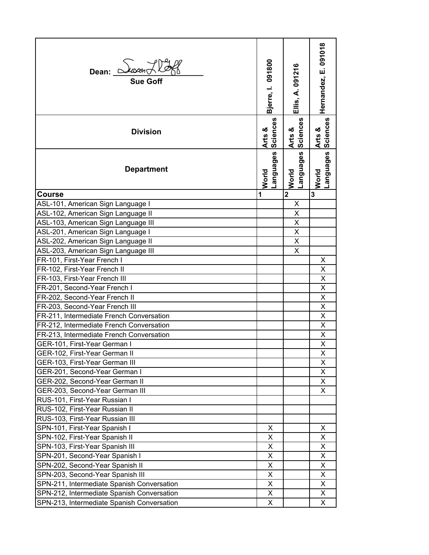| Dean: $\Delta$ usan $\overrightarrow{\triangle}$<br><b>Sue Goff</b> | Bjerre, I. 091800  | Ellis, A. 091216         | Hernandez, E. 091018 |
|---------------------------------------------------------------------|--------------------|--------------------------|----------------------|
| <b>Division</b>                                                     | Sciences<br>Arts & | Arts &<br>Sciences       | Sciences<br>Arts &   |
| <b>Department</b>                                                   | Languages<br>World | <b>Sebenbue</b><br>World | capangual<br>World   |
| <b>Course</b>                                                       | 1                  | $\overline{2}$           | 3                    |
| ASL-101, American Sign Language I                                   |                    | X                        |                      |
| ASL-102, American Sign Language II                                  |                    | X                        |                      |
| ASL-103, American Sign Language III                                 |                    | X                        |                      |
| ASL-201, American Sign Language I                                   |                    | X                        |                      |
| ASL-202, American Sign Language II                                  |                    | X                        |                      |
| ASL-203, American Sign Language III                                 |                    | X                        |                      |
| FR-101, First-Year French I                                         |                    |                          | X                    |
| FR-102, First-Year French II                                        |                    |                          | Χ                    |
| FR-103, First-Year French III                                       |                    |                          | $\pmb{\mathsf{X}}$   |
| FR-201, Second-Year French I                                        |                    |                          | X                    |
| FR-202, Second-Year French II                                       |                    |                          | $\mathsf X$          |
| FR-203, Second-Year French III                                      |                    |                          | $\pmb{\mathsf{X}}$   |
| FR-211, Intermediate French Conversation                            |                    |                          | $\pmb{\mathsf{X}}$   |
| FR-212, Intermediate French Conversation                            |                    |                          | $\overline{X}$       |
| FR-213, Intermediate French Conversation                            |                    |                          | X                    |
| GER-101, First-Year German I                                        |                    |                          | X                    |
| GER-102, First-Year German II                                       |                    |                          | X                    |
| GER-103, First-Year German III                                      |                    |                          | X                    |
| GER-201, Second-Year German I                                       |                    |                          | X                    |
| GER-202, Second-Year German II                                      |                    |                          | X                    |
| GER-203, Second-Year German III                                     |                    |                          | X                    |
| RUS-101, First-Year Russian I                                       |                    |                          |                      |
| RUS-102, First-Year Russian II                                      |                    |                          |                      |
| RUS-103, First-Year Russian III                                     |                    |                          |                      |
| SPN-101, First-Year Spanish I                                       | X                  |                          | X                    |
| SPN-102, First-Year Spanish II                                      | X                  |                          | X                    |
| SPN-103, First-Year Spanish III                                     | X                  |                          | X                    |
| SPN-201, Second-Year Spanish I                                      | X                  |                          | X                    |
| SPN-202, Second-Year Spanish II                                     | X                  |                          | X                    |
| SPN-203, Second-Year Spanish III                                    | X                  |                          | X                    |
| SPN-211, Intermediate Spanish Conversation                          | X                  |                          | X                    |
| SPN-212, Intermediate Spanish Conversation                          | X                  |                          | X                    |
| SPN-213, Intermediate Spanish Conversation                          | X                  |                          | X                    |